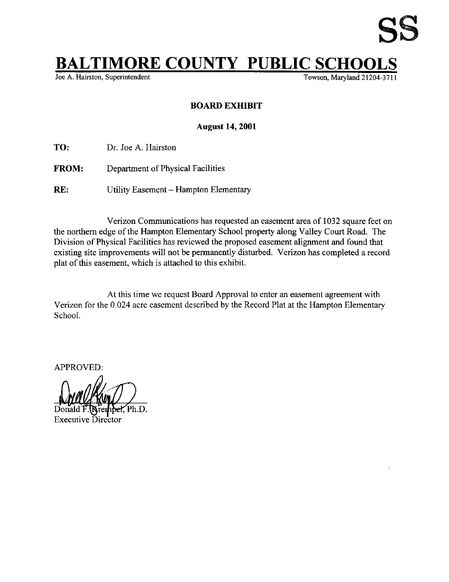

## **BALTIMORE COUNTY PUBLIC SCHO**<br>Joe A. Hairston, Superintendent

Towson, Maryland 21204-3711

## BOARD EXHIBIT

## August 14, 2001

TO: Dr. Joe A. Hairston

FROM: Department of Physical Facilities

RE: Utility Easement - Hampton Elementary

Verizon Communications has requested an easement area of 1032 square feet on the northern edge of the Hampton Elementary School property along Valley Court Road. The Division of Physical Facilities has reviewed the proposed easement alignment and found that existing site improvements will not be permanently disturbed. Verizon has completed a record plat of this easement, which is attached to this exhibit.

At this time we request Board Approval to enter an easement agreement with Verizon for the 0.024 acre easement described by the Record Plat at the Hampton Elementary School.

APPROVED :

Ph.D. **Executive Director**